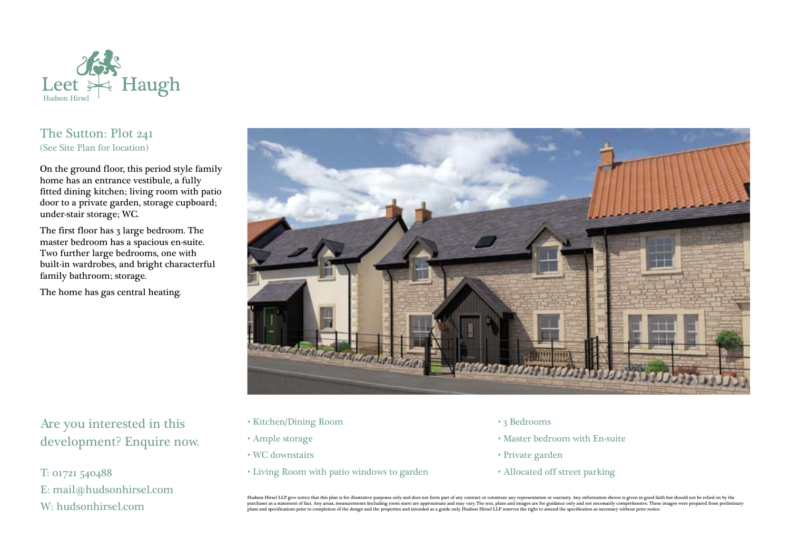

## The Sutton: Plot 241 (See Site Plan for location)

On the ground floor, this period style family home has an entrance vestibule, a fully fitted dining kitchen; living room with patio door to a private garden, storage cupboard; under-stair storage; WC.

The first floor has 3 large bedroom. The master bedroom has a spacious en-suite. Two further large bedrooms, one with built-in wardrobes, and bright characterful family bathroom; storage.

The home has gas central heating.



Are you interested in this development? Enquire now.

T: 01721 540488 E: mail@hudsonhirsel.com W: hudsonhirsel.com

- Kitchen/Dining Room
- Ample storage
- WC downstairs
- Living Room with patio windows to garden
- 3 Bedrooms
- Master bedroom with En-suite
- Private garden
- Allocated off street parking

Hudson Hirsel LLP give notice that this plan is for illustrative purposes only and does not form part of any contract or constitute any representation or warranty. Any information shown is given in good faith but should no purchaser as a statement of fact. Any areas, measurements (including room sizes) are approximate and may vary. The text, plans and images are for guidance only and not necessarily comprehensive. These images were prepared